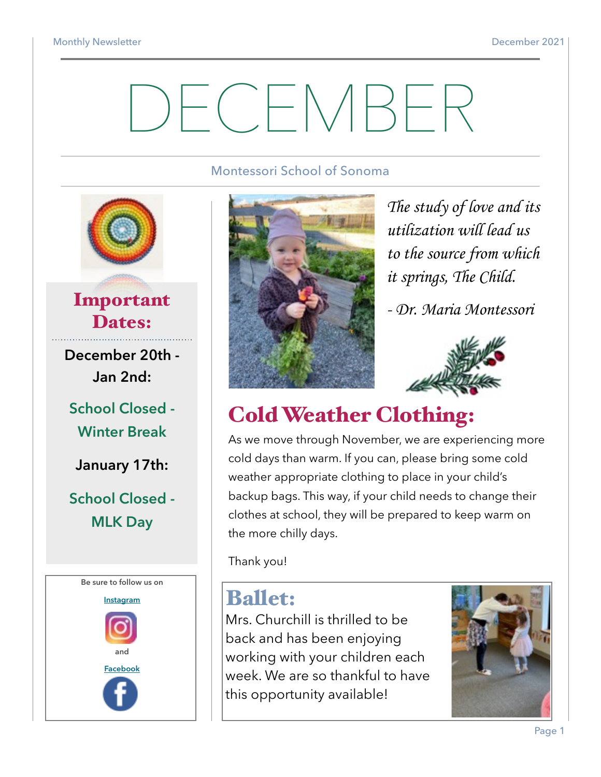# DECEMBER

### Montessori School of Sonoma



## Important Dates:

**December 20th - Jan 2nd:** 

**School Closed - Winter Break** 

**January 17th:** 

**School Closed - MLK Day** 





*The study of love and its utilization will lead us to the source from which it springs, The Child.* 

*- Dr. Maria Montessori*



## Cold Weather Clothing:

As we move through November, we are experiencing more cold days than warm. If you can, please bring some cold weather appropriate clothing to place in your child's backup bags. This way, if your child needs to change their clothes at school, they will be prepared to keep warm on the more chilly days.

Thank you!

## Ballet:

Mrs. Churchill is thrilled to be back and has been enjoying working with your children each week. We are so thankful to have this opportunity available!

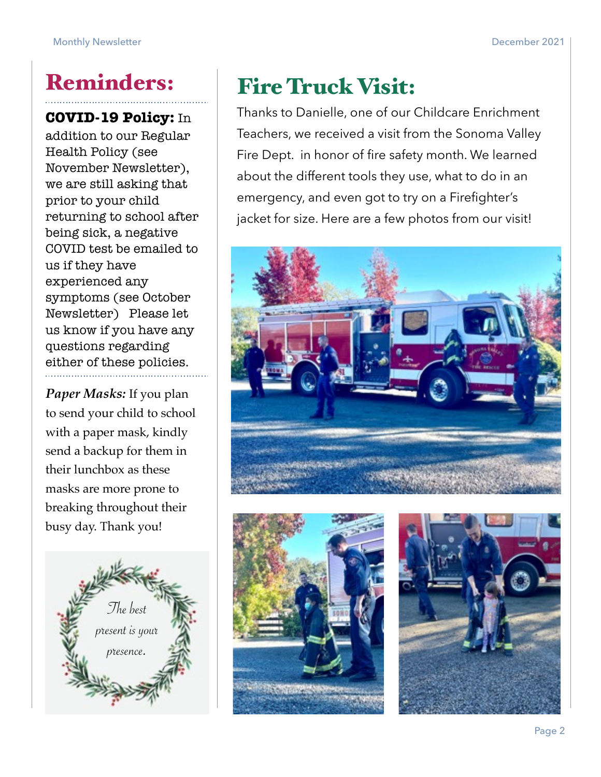## Reminders:

## **COVID-19 Policy:** In

addition to our Regular Health Policy (see November Newsletter), we are still asking that prior to your child returning to school after being sick, a negative COVID test be emailed to us if they have experienced any symptoms (see October Newsletter) Please let us know if you have any questions regarding either of these policies.

*Paper Masks:* If you plan to send your child to school with a paper mask, kindly send a backup for them in their lunchbox as these masks are more prone to breaking throughout their busy day. Thank you!



# Fire Truck Visit:

Thanks to Danielle, one of our Childcare Enrichment Teachers, we received a visit from the Sonoma Valley Fire Dept. in honor of fire safety month. We learned about the different tools they use, what to do in an emergency, and even got to try on a Firefighter's jacket for size. Here are a few photos from our visit!





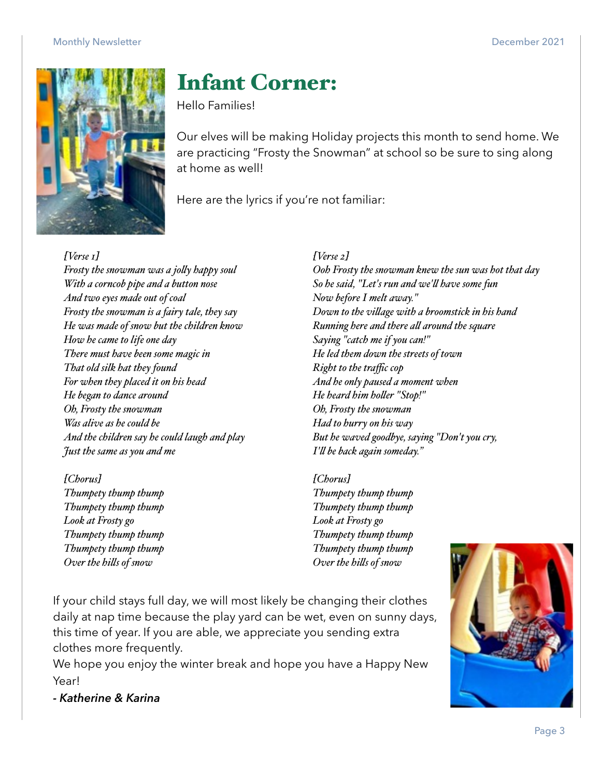#### Monthly Newsletter **Monthly Newsletter Monthly Newsletter December 2021**



## Infant Corner:

Hello Families!

Our elves will be making Holiday projects this month to send home. We are practicing "Frosty the Snowman" at school so be sure to sing along at home as well!

Here are the lyrics if you're not familiar:

#### *[Verse 1]*

*Frosty the snowman was a joly happy soul With a corncob pipe and a button nose And two eyes made out of coal Frosty the snowman is a fairy tale, they say He was made of snow but the children know How he came to life one day There must have been some magic in That old silk hat they found For when they placed it on his head He began to dance around Oh, Frosty the snowman Was alive as he could be And the children say he could laugh and play Just the same as you and me*

#### *[Chorus]*

*Thumpety thump thump Thumpety thump thump Look at Frosty go Thumpety thump thump Thumpety thump thump Over the hils of snow*

#### *[Verse 2]*

*Ooh Frosty the snowman knew the sun was hot that day So he said, "Let's run and we'l have some fun Now before I melt away." Down to the vilage with a broomstick in his hand Running here and there al around the square Saying "catch me if you can!" He led them down the streets of town Right to the traffic cop And he only paused a moment when He heard him holer "Stop!" Oh, Frosty the snowman Had to hurry on his way But he waved goodbye, saying "Don't you cry, I'l be back again someday."*

#### *[Chorus] Thumpety thump thump Thumpety thump thump Look at Frosty go Thumpety thump thump Thumpety thump thump Over the hils of snow*

If your child stays full day, we will most likely be changing their clothes daily at nap time because the play yard can be wet, even on sunny days, this time of year. If you are able, we appreciate you sending extra clothes more frequently.

We hope you enjoy the winter break and hope you have a Happy New Year!



*- Katherine & Karina*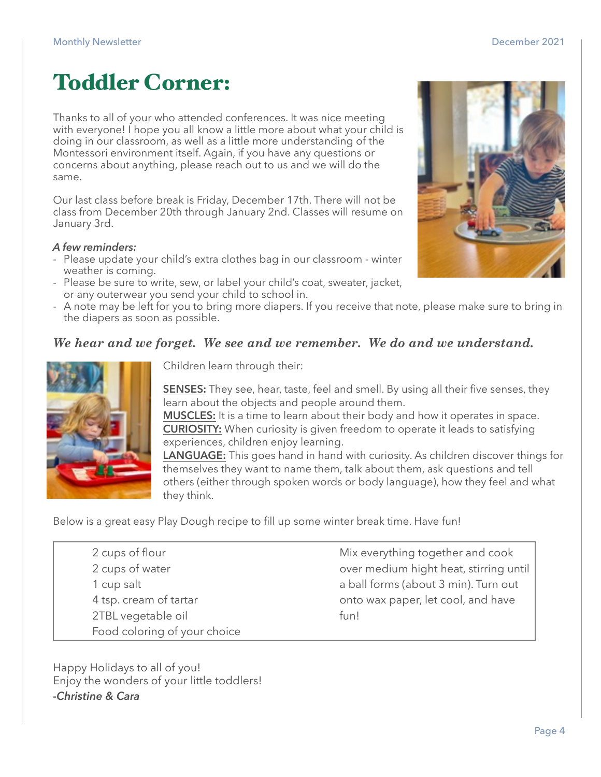## Toddler Corner:

Thanks to all of your who attended conferences. It was nice meeting with everyone! I hope you all know a little more about what your child is doing in our classroom, as well as a little more understanding of the Montessori environment itself. Again, if you have any questions or concerns about anything, please reach out to us and we will do the same.

Our last class before break is Friday, December 17th. There will not be class from December 20th through January 2nd. Classes will resume on January 3rd.

#### *A few reminders:*

- Please update your child's extra clothes bag in our classroom winter weather is coming.
- Please be sure to write, sew, or label your child's coat, sweater, jacket, or any outerwear you send your child to school in.
- A note may be left for you to bring more diapers. If you receive that note, please make sure to bring in the diapers as soon as possible.

#### *We hear and we forget. We see and we remember. We do and we understand.*



Children learn through their:

**SENSES:** They see, hear, taste, feel and smell. By using all their five senses, they learn about the objects and people around them.

**MUSCLES:** It is a time to learn about their body and how it operates in space. **CURIOSITY:** When curiosity is given freedom to operate it leads to satisfying experiences, children enjoy learning.

**LANGUAGE:** This goes hand in hand with curiosity. As children discover things for themselves they want to name them, talk about them, ask questions and tell others (either through spoken words or body language), how they feel and what they think.

Below is a great easy Play Dough recipe to fill up some winter break time. Have fun!

2TBL vegetable oil and the state of the fun! Food coloring of your choice

2 cups of flour and cook and cook Mix everything together and cook 2 cups of water over medium hight heat, stirring until 1 cup salt a ball forms (about 3 min). Turn out 4 tsp. cream of tartar **onto wax paper**, let cool, and have

Happy Holidays to all of you! Enjoy the wonders of your little toddlers! *-Christine & Cara*

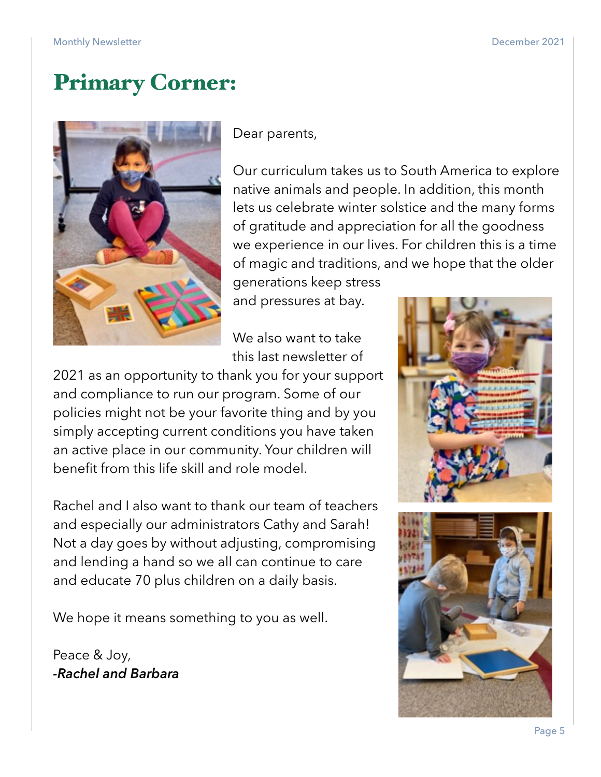## Primary Corner:



Dear parents,

Our curriculum takes us to South America to explore native animals and people. In addition, this month lets us celebrate winter solstice and the many forms of gratitude and appreciation for all the goodness we experience in our lives. For children this is a time of magic and traditions, and we hope that the older generations keep stress

and pressures at bay.

We also want to take this last newsletter of

2021 as an opportunity to thank you for your support and compliance to run our program. Some of our policies might not be your favorite thing and by you simply accepting current conditions you have taken an active place in our community. Your children will benefit from this life skill and role model.

Rachel and I also want to thank our team of teachers and especially our administrators Cathy and Sarah! Not a day goes by without adjusting, compromising and lending a hand so we all can continue to care and educate 70 plus children on a daily basis.

We hope it means something to you as well.

Peace & Joy, *-Rachel and Barbara* 



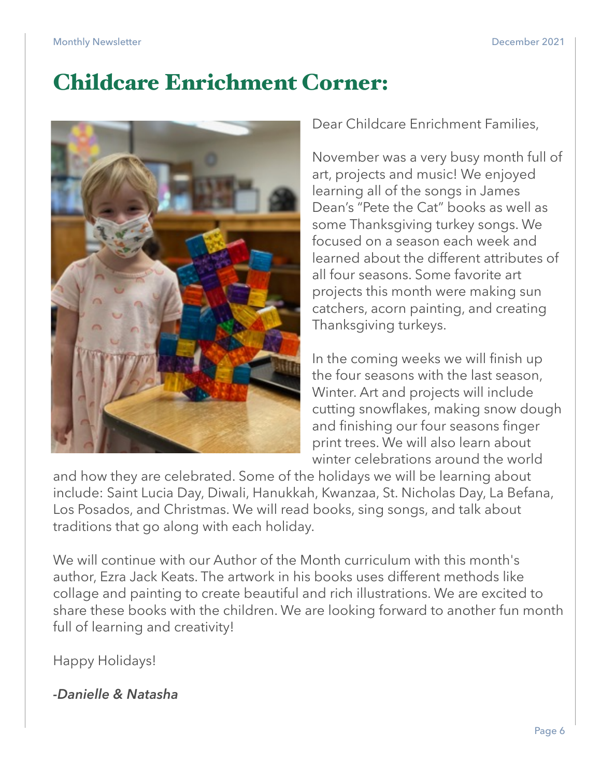## Childcare Enrichment Corner:



Dear Childcare Enrichment Families,

November was a very busy month full of art, projects and music! We enjoyed learning all of the songs in James Dean's "Pete the Cat" books as well as some Thanksgiving turkey songs. We focused on a season each week and learned about the different attributes of all four seasons. Some favorite art projects this month were making sun catchers, acorn painting, and creating Thanksgiving turkeys.

In the coming weeks we will finish up the four seasons with the last season, Winter. Art and projects will include cutting snowflakes, making snow dough and finishing our four seasons finger print trees. We will also learn about winter celebrations around the world

and how they are celebrated. Some of the holidays we will be learning about include: Saint Lucia Day, Diwali, Hanukkah, Kwanzaa, St. Nicholas Day, La Befana, Los Posados, and Christmas. We will read books, sing songs, and talk about traditions that go along with each holiday.

We will continue with our Author of the Month curriculum with this month's author, Ezra Jack Keats. The artwork in his books uses different methods like collage and painting to create beautiful and rich illustrations. We are excited to share these books with the children. We are looking forward to another fun month full of learning and creativity!

Happy Holidays!

## *-Danielle & Natasha*